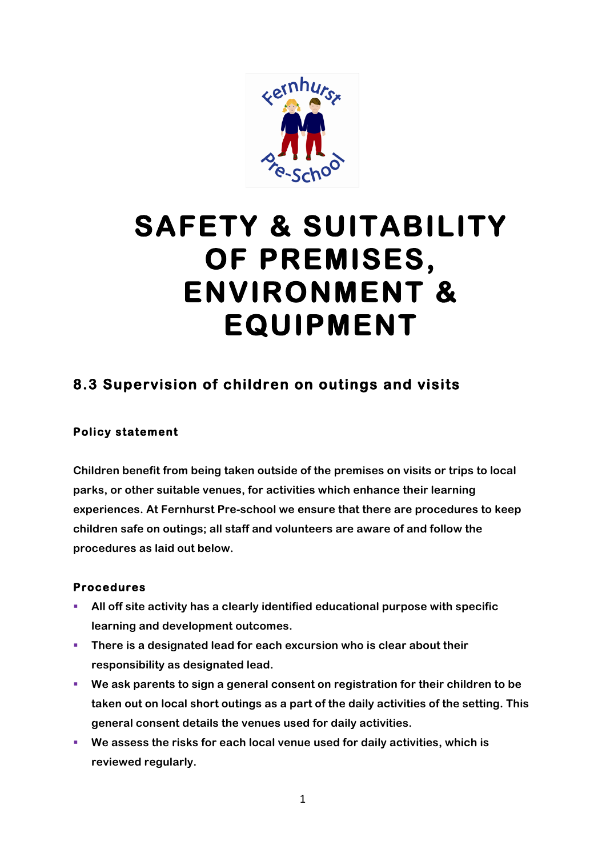

# **SAFETY & SUITABILITY OF PREMISES, ENVIRONMENT & EQUIPMENT**

## **8.3 Supervision of children on outings and visits**

### **Policy statement**

**Children benefit from being taken outside of the premises on visits or trips to local parks, or other suitable venues, for activities which enhance their learning experiences. At Fernhurst Pre-school we ensure that there are procedures to keep children safe on outings; all staff and volunteers are aware of and follow the procedures as laid out below.**

#### **Procedures**

- § **All off site activity has a clearly identified educational purpose with specific learning and development outcomes.**
- § **There is a designated lead for each excursion who is clear about their responsibility as designated lead.**
- We ask parents to sign a general consent on registration for their children to be **taken out on local short outings as a part of the daily activities of the setting. This general consent details the venues used for daily activities.**
- § **We assess the risks for each local venue used for daily activities, which is reviewed regularly.**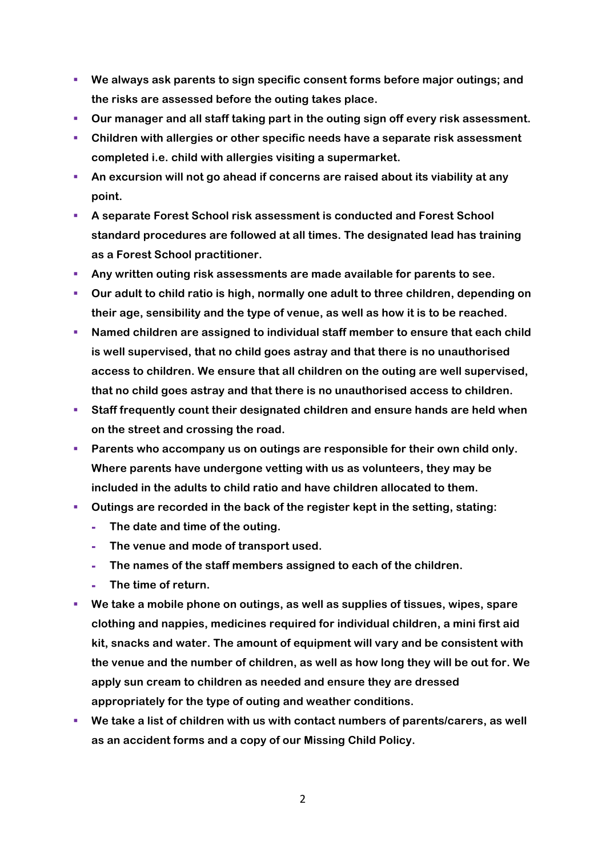- § **We always ask parents to sign specific consent forms before major outings; and the risks are assessed before the outing takes place.**
- § **Our manager and all staff taking part in the outing sign off every risk assessment.**
- § **Children with allergies or other specific needs have a separate risk assessment completed i.e. child with allergies visiting a supermarket.**
- § **An excursion will not go ahead if concerns are raised about its viability at any point.**
- § **A separate Forest School risk assessment is conducted and Forest School standard procedures are followed at all times. The designated lead has training as a Forest School practitioner.**
- § **Any written outing risk assessments are made available for parents to see.**
- § **Our adult to child ratio is high, normally one adult to three children, depending on their age, sensibility and the type of venue, as well as how it is to be reached.**
- Named children are assigned to individual staff member to ensure that each child **is well supervised, that no child goes astray and that there is no unauthorised access to children. We ensure that all children on the outing are well supervised, that no child goes astray and that there is no unauthorised access to children.**
- Staff frequently count their designated children and ensure hands are held when **on the street and crossing the road.**
- § **Parents who accompany us on outings are responsible for their own child only. Where parents have undergone vetting with us as volunteers, they may be included in the adults to child ratio and have children allocated to them.**
- § **Outings are recorded in the back of the register kept in the setting, stating:**
	- **- The date and time of the outing.**
	- **- The venue and mode of transport used.**
	- **- The names of the staff members assigned to each of the children.**
	- **- The time of return.**
- § **We take a mobile phone on outings, as well as supplies of tissues, wipes, spare clothing and nappies, medicines required for individual children, a mini first aid kit, snacks and water. The amount of equipment will vary and be consistent with the venue and the number of children, as well as how long they will be out for. We apply sun cream to children as needed and ensure they are dressed appropriately for the type of outing and weather conditions.**
- We take a list of children with us with contact numbers of parents/carers, as well **as an accident forms and a copy of our Missing Child Policy.**